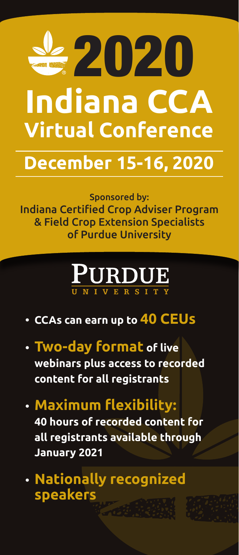

## **December 15-16, 2020**

Sponsored by: Indiana Certified Crop Adviser Program & Field Crop Extension Specialists of Purdue University

# PURDUE

- **CCAs can earn up to 40 CEUs**
- **Two-day format of live webinars plus access to recorded content for all registrants**
- **Maximum flexibility: 40 hours of recorded content for all registrants available through January 2021**
- **Nationally recognized speakers**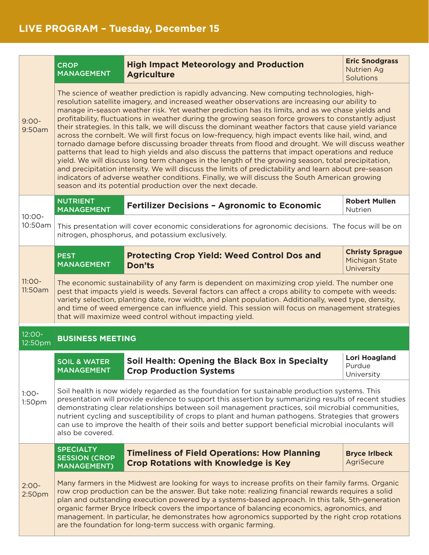|                               | <b>CROP</b><br><b>MANAGEMENT</b>                                                                                                                                                                                                                                                                                                                                                                                                                                                                                                                                                                                                                                                                                                                                                                                                                                                                                                                                                                                                                                                                                                                                                                            | <b>High Impact Meteorology and Production</b><br><b>Agriculture</b>                                | <b>Eric Snodgrass</b><br><b>Nutrien Ag</b><br>Solutions |  |  |
|-------------------------------|-------------------------------------------------------------------------------------------------------------------------------------------------------------------------------------------------------------------------------------------------------------------------------------------------------------------------------------------------------------------------------------------------------------------------------------------------------------------------------------------------------------------------------------------------------------------------------------------------------------------------------------------------------------------------------------------------------------------------------------------------------------------------------------------------------------------------------------------------------------------------------------------------------------------------------------------------------------------------------------------------------------------------------------------------------------------------------------------------------------------------------------------------------------------------------------------------------------|----------------------------------------------------------------------------------------------------|---------------------------------------------------------|--|--|
| $9:00-$<br>9:50am             | The science of weather prediction is rapidly advancing. New computing technologies, high-<br>resolution satellite imagery, and increased weather observations are increasing our ability to<br>manage in-season weather risk. Yet weather prediction has its limits, and as we chase yields and<br>profitability, fluctuations in weather during the growing season force growers to constantly adjust<br>their strategies. In this talk, we will discuss the dominant weather factors that cause yield variance<br>across the cornbelt. We will first focus on low-frequency, high impact events like hail, wind, and<br>tornado damage before discussing broader threats from flood and drought. We will discuss weather<br>patterns that lead to high yields and also discuss the patterns that impact operations and reduce<br>yield. We will discuss long term changes in the length of the growing season, total precipitation,<br>and precipitation intensity. We will discuss the limits of predictability and learn about pre-season<br>indicators of adverse weather conditions. Finally, we will discuss the South American growing<br>season and its potential production over the next decade. |                                                                                                    |                                                         |  |  |
| $10:00 -$<br>10:50am          | <b>NUTRIENT</b><br><b>MANAGEMENT</b>                                                                                                                                                                                                                                                                                                                                                                                                                                                                                                                                                                                                                                                                                                                                                                                                                                                                                                                                                                                                                                                                                                                                                                        | <b>Fertilizer Decisions - Agronomic to Economic</b>                                                | <b>Robert Mullen</b><br>Nutrien                         |  |  |
|                               | This presentation will cover economic considerations for agronomic decisions. The focus will be on<br>nitrogen, phosphorus, and potassium exclusively.                                                                                                                                                                                                                                                                                                                                                                                                                                                                                                                                                                                                                                                                                                                                                                                                                                                                                                                                                                                                                                                      |                                                                                                    |                                                         |  |  |
| $11:OO-$<br>11:50am           | <b>PEST</b><br><b>MANAGEMENT</b>                                                                                                                                                                                                                                                                                                                                                                                                                                                                                                                                                                                                                                                                                                                                                                                                                                                                                                                                                                                                                                                                                                                                                                            | <b>Protecting Crop Yield: Weed Control Dos and</b><br><b>Don'ts</b>                                | <b>Christy Sprague</b><br>Michigan State<br>University  |  |  |
|                               | The economic sustainability of any farm is dependent on maximizing crop yield. The number one<br>pest that impacts yield is weeds. Several factors can affect a crops ability to compete with weeds:<br>variety selection, planting date, row width, and plant population. Additionally, weed type, density,<br>and time of weed emergence can influence yield. This session will focus on management strategies<br>that will maximize weed control without impacting yield.                                                                                                                                                                                                                                                                                                                                                                                                                                                                                                                                                                                                                                                                                                                                |                                                                                                    |                                                         |  |  |
| $12:00 -$<br>12:50pm          | <b>BUSINESS MEETING</b>                                                                                                                                                                                                                                                                                                                                                                                                                                                                                                                                                                                                                                                                                                                                                                                                                                                                                                                                                                                                                                                                                                                                                                                     |                                                                                                    |                                                         |  |  |
| $1:00-$<br>1:50pm             | <b>SOIL &amp; WATER</b><br>MANAGEMENT                                                                                                                                                                                                                                                                                                                                                                                                                                                                                                                                                                                                                                                                                                                                                                                                                                                                                                                                                                                                                                                                                                                                                                       | Soil Health: Opening the Black Box in Specialty<br><b>Crop Production Systems</b>                  | <b>Lori Hoagland</b><br>Purdue<br>University            |  |  |
|                               | Soil health is now widely regarded as the foundation for sustainable production systems. This<br>presentation will provide evidence to support this assertion by summarizing results of recent studies<br>demonstrating clear relationships between soil management practices, soil microbial communities,<br>nutrient cycling and susceptibility of crops to plant and human pathogens. Strategies that growers<br>can use to improve the health of their soils and better support beneficial microbial inoculants will<br>also be covered.                                                                                                                                                                                                                                                                                                                                                                                                                                                                                                                                                                                                                                                                |                                                                                                    |                                                         |  |  |
| $2:00-$<br>2:50 <sub>pm</sub> | <b>SPECIALTY</b><br><b>SESSION (CROP</b><br><b>MANAGEMENT)</b>                                                                                                                                                                                                                                                                                                                                                                                                                                                                                                                                                                                                                                                                                                                                                                                                                                                                                                                                                                                                                                                                                                                                              | <b>Timeliness of Field Operations: How Planning</b><br><b>Crop Rotations with Knowledge is Key</b> | <b>Bryce Irlbeck</b><br>AgriSecure                      |  |  |
|                               | Many farmers in the Midwest are looking for ways to increase profits on their family farms. Organic<br>row crop production can be the answer. But take note: realizing financial rewards requires a solid<br>plan and outstanding execution powered by a systems-based approach. In this talk, 5th-generation<br>organic farmer Bryce Irlbeck covers the importance of balancing economics, agronomics, and<br>management. In particular, he demonstrates how agronomics supported by the right crop rotations<br>are the foundation for long-term success with organic farming.                                                                                                                                                                                                                                                                                                                                                                                                                                                                                                                                                                                                                            |                                                                                                    |                                                         |  |  |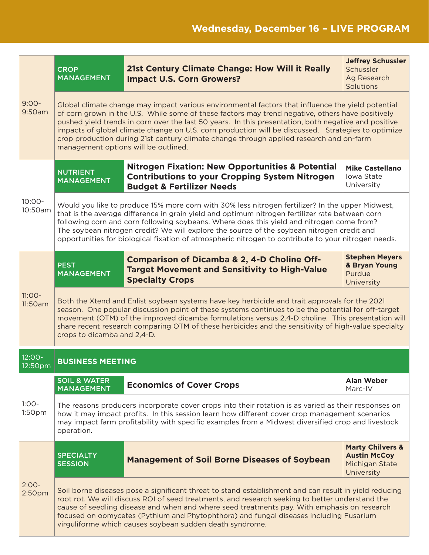| $9:00-$<br>9:50am             | <b>CROP</b><br><b>MANAGEMENT</b>                                                                                                                                                                                                                                                                                                                                                                                                                                                                                                                       | <b>21st Century Climate Change: How Will it Really</b><br><b>Impact U.S. Corn Growers?</b>                                                                   | <b>Jeffrey Schussler</b><br>Schussler<br>Ag Research<br>Solutions                  |  |  |
|-------------------------------|--------------------------------------------------------------------------------------------------------------------------------------------------------------------------------------------------------------------------------------------------------------------------------------------------------------------------------------------------------------------------------------------------------------------------------------------------------------------------------------------------------------------------------------------------------|--------------------------------------------------------------------------------------------------------------------------------------------------------------|------------------------------------------------------------------------------------|--|--|
|                               | Global climate change may impact various environmental factors that influence the yield potential<br>of corn grown in the U.S. While some of these factors may trend negative, others have positively<br>pushed yield trends in corn over the last 50 years. In this presentation, both negative and positive<br>impacts of global climate change on U.S. corn production will be discussed. Strategies to optimize<br>crop production during 21st century climate change through applied research and on-farm<br>management options will be outlined. |                                                                                                                                                              |                                                                                    |  |  |
| $10:00 -$<br>10:50am          | <b>NUTRIENT</b><br><b>MANAGEMENT</b>                                                                                                                                                                                                                                                                                                                                                                                                                                                                                                                   | <b>Nitrogen Fixation: New Opportunities &amp; Potential</b><br><b>Contributions to your Cropping System Nitrogen</b><br><b>Budget &amp; Fertilizer Needs</b> | <b>Mike Castellano</b><br>Iowa State<br>University                                 |  |  |
|                               | Would you like to produce 15% more corn with 30% less nitrogen fertilizer? In the upper Midwest,<br>that is the average difference in grain yield and optimum nitrogen fertilizer rate between corn<br>following corn and corn following soybeans. Where does this yield and nitrogen come from?<br>The soybean nitrogen credit? We will explore the source of the soybean nitrogen credit and<br>opportunities for biological fixation of atmospheric nitrogen to contribute to your nitrogen needs.                                                  |                                                                                                                                                              |                                                                                    |  |  |
| $11:OO-$<br>11:50am           | <b>PEST</b><br><b>MANAGEMENT</b>                                                                                                                                                                                                                                                                                                                                                                                                                                                                                                                       | <b>Comparison of Dicamba &amp; 2, 4-D Choline Off-</b><br><b>Target Movement and Sensitivity to High-Value</b><br><b>Specialty Crops</b>                     | <b>Stephen Meyers</b><br>& Bryan Young<br>Purdue<br>University                     |  |  |
|                               | Both the Xtend and Enlist soybean systems have key herbicide and trait approvals for the 2021<br>season. One popular discussion point of these systems continues to be the potential for off-target<br>movement (OTM) of the improved dicamba formulations versus 2,4-D choline. This presentation will<br>share recent research comparing OTM of these herbicides and the sensitivity of high-value specialty<br>crops to dicamba and 2,4-D.                                                                                                          |                                                                                                                                                              |                                                                                    |  |  |
| $12:00 -$<br>12:50pm          | <b>BUSINESS MEETING</b>                                                                                                                                                                                                                                                                                                                                                                                                                                                                                                                                |                                                                                                                                                              |                                                                                    |  |  |
| $1:00-$<br>1:50 <sub>pm</sub> | <b>SOIL &amp; WATER</b><br><b>MANAGEMENT</b>                                                                                                                                                                                                                                                                                                                                                                                                                                                                                                           | <b>Economics of Cover Crops</b>                                                                                                                              | <b>Alan Weber</b><br>Marc-IV                                                       |  |  |
|                               | The reasons producers incorporate cover crops into their rotation is as varied as their responses on<br>how it may impact profits. In this session learn how different cover crop management scenarios<br>may impact farm profitability with specific examples from a Midwest diversified crop and livestock<br>operation.                                                                                                                                                                                                                             |                                                                                                                                                              |                                                                                    |  |  |
| $2:00-$<br>2:50 <sub>pm</sub> | <b>SPECIALTY</b><br><b>SESSION</b>                                                                                                                                                                                                                                                                                                                                                                                                                                                                                                                     | <b>Management of Soil Borne Diseases of Soybean</b>                                                                                                          | <b>Marty Chilvers &amp;</b><br><b>Austin McCoy</b><br>Michigan State<br>University |  |  |
|                               | Soil borne diseases pose a significant threat to stand establishment and can result in yield reducing<br>root rot. We will discuss ROI of seed treatments, and research seeking to better understand the<br>cause of seedling disease and when and where seed treatments pay. With emphasis on research<br>focused on oomycetes (Pythium and Phytophthora) and fungal diseases including Fusarium<br>virguliforme which causes soybean sudden death syndrome.                                                                                          |                                                                                                                                                              |                                                                                    |  |  |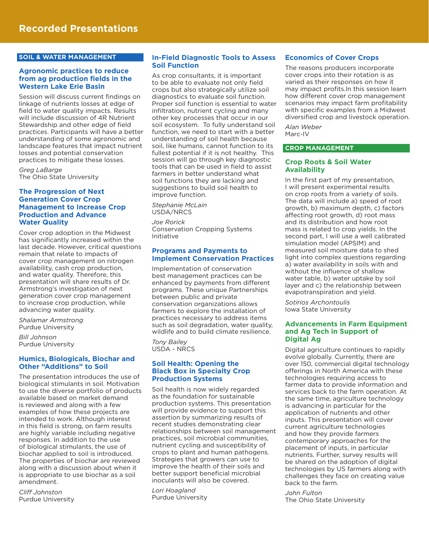#### **SOIL & WATER MANAGEMENT**

#### **Agronomic practices to reduce from ag production fields in the Western Lake Erie Basin**

Session will discuss current findings on linkage of nutrients losses at edge of field to water quality impacts. Results will include discussion of 4R Nutrient Stewardship and other edge of field practices. Participants will have a better understanding of some agronomic and landscape features that impact nutrient losses and potential conservation practices to mitigate these losses.

*Greg LaBarge* The Ohio State University

#### **The Progression of Next Generation Cover Crop Management to Increase Crop Production and Advance Water Quality**

Cover crop adoption in the Midwest has significantly increased within the last decade. However, critical questions remain that relate to impacts of cover crop management on nitrogen availability, cash crop production, and water quality. Therefore, this presentation will share results of Dr. Armstrong's investigation of next generation cover crop management to increase crop production, while advancing water quality.

*Shalamar Armstrong* Purdue University

*Bill Johnson* Purdue University

#### **Humics, Biologicals, Biochar and Other "Additions" to Soil**

The presentation introduces the use of biological stimulants in soil. Motivation to use the diverse portfolio of products available based on market demand is reviewed and along with a few examples of how these projects are intended to work. Although interest in this field is strong, on farm results are highly variable including negative responses. In addition to the use of biological stimulants, the use of biochar applied to soil is introduced. The properties of biochar are reviewed along with a discussion about when it is appropriate to use biochar as a soil amendment.

*Cliff Johnston* Purdue University

#### **In-Field Diagnostic Tools to Assess Soil Function**

As crop consultants, it is important to be able to evaluate not only field crops but also strategically utilize soil diagnostics to evaluate soil function. Proper soil function is essential to water infiltration, nutrient cycling and many other key processes that occur in our soil ecosystem. To fully understand soil function, we need to start with a better understanding of soil health because soil, like humans, cannot function to its fullest potential if it is not healthy. This session will go through key diagnostic tools that can be used in field to assist farmers in better understand what soil functions they are lacking and suggestions to build soil health to improve function.

*Stephanie McLain* USDA/NRCS

*Joe Rorick* Conservation Cropping Systems Initiative

#### **Programs and Payments to Implement Conservation Practices**

Implementation of conservation best management practices can be enhanced by payments from different programs. These unique Partnerships between public and private conservation organizations allows farmers to explore the installation of practices necessary to address items such as soil degradation, water quality, wildlife and to build climate resilience.

*Tony Bailey* USDA - NRCS

#### **Soil Health: Opening the Black Box in Specialty Crop Production Systems**

Soil health is now widely regarded as the foundation for sustainable production systems. This presentation will provide evidence to support this assertion by summarizing results of recent studies demonstrating clear relationships between soil management practices, soil microbial communities, nutrient cycling and susceptibility of crops to plant and human pathogens. Strategies that growers can use to improve the health of their soils and better support beneficial microbial inoculants will also be covered.

*Lori Hoagland* Purdue University

#### **Economics of Cover Crops**

The reasons producers incorporate cover crops into their rotation is as varied as their responses on how it may impact profits.In this session learn how different cover crop management scenarios may impact farm profitability with specific examples from a Midwest diversified crop and livestock operation.

*Alan Weber* Marc-IV

#### **CROP MANAGEMENT**

#### **Crop Roots & Soil Water Availability**

In the first part of my presentation, I will present experimental results on crop roots from a variety of soils. The data will include a) speed of root growth, b) maximum depth, c) factors affecting root growth, d) root mass and its distribution and how root mass is related to crop yields. In the second part, I will use a well calibrated simulation model (APSIM) and measured soil moisture data to shed light into complex questions regarding a) water availability in soils with and without the influence of shallow water table, b) water uptake by soil layer and c) the relationship between evapotranspiration and yield.

*Sotirios Archontoulis* Iowa State University

#### **Advancements in Farm Equipment and Ag Tech in Support of Digital Ag**

Digital agriculture continues to rapidly evolve globally. Currently, there are over 150, commercial digital technology offerings in North America with these technologies requiring access to farmer data to provide information and services back to the farm operation. At the same time, agriculture technology is advancing in particular for the application of nutrients and other inputs. This presentation will cover current agriculture technologies and how they provide farmers contemporary approaches for the placement of inputs, in particular nutrients. Further, survey results will be shared on the adoption of digital technologies by US farmers along with challenges they face on creating value back to the farm.

*John Fulton*

The Ohio State University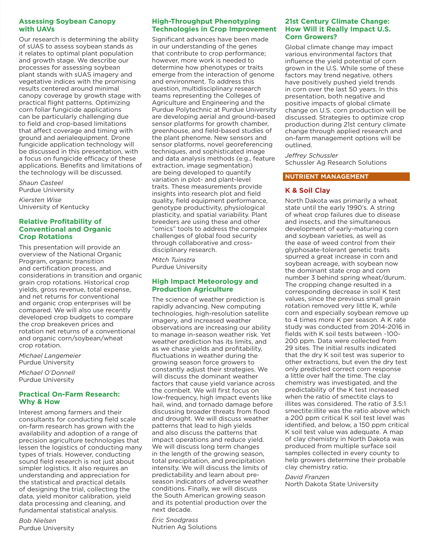#### **Assessing Soybean Canopy with UAVs**

Our research is determining the ability of sUAS to assess soybean stands as it relates to optimal plant population and growth stage. We describe our processes for assessing soybean plant stands with sUAS imagery and vegetative indices with the promising results centered around minimal canopy coverage by growth stage with practical flight patterns. Optimizing corn foliar fungicide applications can be particularly challenging due to field and crop-based limitations that affect coverage and timing with ground and aerialequipment. Drone fungicide application technology will be discussed in this presentation, with a focus on fungicide efficacy of these applications. Benefits and limitations of the technology will be discussed.

*Shaun Casteel* Purdue University

*Kiersten Wise* University of Kentucky

#### **Relative Profitability of Conventional and Organic Crop Rotations**

This presentation will provide an overview of the National Organic Program, organic transition and certification process, and considerations in transition and organic grain crop rotations. Historical crop yields, gross revenue, total expense, and net returns for conventional and organic crop enterprises will be compared. We will also use recently developed crop budgets to compare the crop breakeven prices and rotation net returns of a conventional and organic corn/soybean/wheat crop rotation.

*Michael Langemeier* Purdue University

*Michael O'Donnell* Purdue University

#### **Practical On-Farm Research: Why & How**

Interest among farmers and their consultants for conducting field scale on-farm research has grown with the availability and adoption of a range of precision agriculture technologies that lessen the logistics of conducting many types of trials. However, conducting sound field research is not just about simpler logistics. It also requires an understanding and appreciation for the statistical and practical details of designing the trial, collecting the data, yield monitor calibration, yield data processing and cleaning, and fundamental statistical analysis.

*Bob Nielsen* Purdue University

#### **High-Throughput Phenotyping Technologies in Crop Improvement**

Significant advances have been made in our understanding of the genes that contribute to crop performance; however, more work is needed to determine how phenotypes or traits emerge from the interaction of genome and environment. To address this question, multidisciplinary research teams representing the Colleges of Agriculture and Engineering and the Purdue Polytechnic at Purdue University are developing aerial and ground-based sensor platforms for growth chamber, greenhouse, and field-based studies of the plant phenome. New sensors and sensor platforms, novel georeferencing techniques, and sophisticated image and data analysis methods (e.g., feature extraction, image segmentation) are being developed to quantify variation in plot- and plant-level traits. These measurements provide insights into research plot and field quality, field equipment performance, genotype productivity, physiological plasticity, and spatial variability. Plant breeders are using these and other "omics" tools to address the complex challenges of global food security through collaborative and crossdisciplinary research.

*Mitch Tuinstra* Purdue University

#### **High Impact Meteorology and Production Agriculture**

The science of weather prediction is rapidly advancing. New computing technologies, high-resolution satellite imagery, and increased weather observations are increasing our ability to manage in-season weather risk. Yet weather prediction has its limits, and as we chase yields and profitability, fluctuations in weather during the growing season force growers to constantly adjust their strategies. We will discuss the dominant weather factors that cause yield variance across the cornbelt. We will first focus on low-frequency, high impact events like hail, wind, and tornado damage before discussing broader threats from flood and drought. We will discuss weather patterns that lead to high yields and also discuss the patterns that impact operations and reduce yield. We will discuss long term changes in the length of the growing season, total precipitation, and precipitation intensity. We will discuss the limits of predictability and learn about preseason indicators of adverse weather conditions. Finally, we will discuss the South American growing season and its potential production over the next decade.

*Eric Snodgrass* Nutrien Ag Solutions

#### **21st Century Climate Change: How Will it Really Impact U.S. Corn Growers?**

Global climate change may impact various environmental factors that influence the yield potential of corn grown in the U.S. While some of these factors may trend negative, others have positively pushed yield trends in corn over the last 50 years. In this presentation, both negative and positive impacts of global climate change on U.S. corn production will be discussed. Strategies to optimize crop production during 21st century climate change through applied research and on-farm management options will be outlined.

*Jeffrey Schussler* Schussler Ag Research Solutions

#### **NUTRIENT MANAGEMENT**

#### **K & Soil Clay**

North Dakota was primarily a wheat state until the early 1990's. A string of wheat crop failures due to disease and insects, and the simultaneous development of early-maturing corn and soybean varieties, as well as the ease of weed control from their glyphosate-tolerant genetic traits spurred a great increase in corn and soybean acreage, with soybean now the dominant state crop and corn number 3 behind spring wheat/durum. The cropping change resulted in a corresponding decrease in soil K test values, since the previous small grain rotation removed very little K, while corn and especially soybean remove up to 4 times more K per season. A K rate study was conducted from 2014-2016 in fields with K soil tests between ~100- 200 ppm. Data were collected from 29 sites. The initial results indicated that the dry K soil test was superior to other extractions, but even the dry test only predicted correct corn response a little over half the time. The clay chemistry was investigated, and the predictability of the K test increased when the ratio of smectite clays to illites was considered. The ratio of 3.5:1 smectite:illite was the ratio above which a 200 ppm critical K soil test level was identified, and below, a 150 ppm critical K soil test value was adequate. A map of clay chemistry in North Dakota was produced from multiple surface soil samples collected in every county to help growers determine their probable clay chemistry ratio.

*David Franzen* North Dakota State University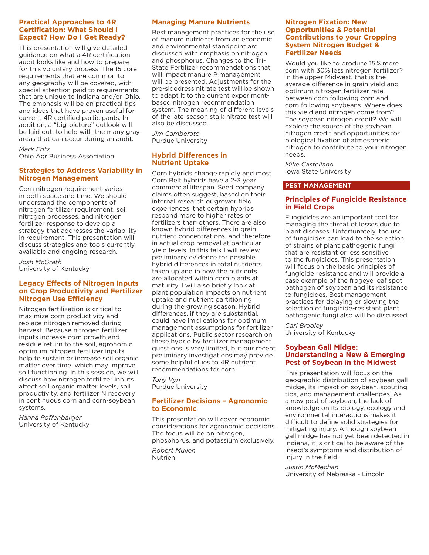#### **Practical Approaches to 4R Certification: What Should I Expect? How Do I Get Ready?**

This presentation will give detailed guidance on what a 4R certification audit looks like and how to prepare for this voluntary process. The 15 core requirements that are common to any geography will be covered, with special attention paid to requirements that are unique to Indiana and/or Ohio. The emphasis will be on practical tips and ideas that have proven useful for current 4R certified participants. In addition, a "big-picture" outlook will be laid out, to help with the many gray areas that can occur during an audit.

*Mark Fritz* Ohio AgriBusiness Association

#### **Strategies to Address Variability in Nitrogen Management**

Corn nitrogen requirement varies in both space and time. We should understand the components of nitrogen fertilizer requirement, soil nitrogen processes, and nitrogen fertilizer response to develop a strategy that addresses the variability in requirement. This presentation will discuss strategies and tools currently available and ongoing research.

*Josh McGrath* University of Kentucky

#### **Legacy Effects of Nitrogen Inputs on Crop Productivity and Fertilizer Nitrogen Use Efficiency**

Nitrogen fertilization is critical to maximize corn productivity and replace nitrogen removed during harvest. Because nitrogen fertilizer inputs increase corn growth and residue return to the soil, agronomic optimum nitrogen fertilizer inputs help to sustain or increase soil organic matter over time, which may improve soil functioning. In this session, we will discuss how nitrogen fertilizer inputs affect soil organic matter levels, soil productivity, and fertilizer N recovery in continuous corn and corn-soybean systems.

*Hanna Poffenbarger* University of Kentucky

#### **Managing Manure Nutrients**

Best management practices for the use of manure nutrients from an economic and environmental standpoint are discussed with emphasis on nitrogen and phosphorus. Changes to the Tri-State Fertilizer recommendations that will impact manure P management will be presented. Adjustments for the pre-sidedress nitrate test will be shown to adapt it to the current experimentbased nitrogen recommendation system. The meaning of different levels of the late-season stalk nitrate test will also be discussed.

*Jim Camberato* Purdue University

#### **Hybrid Differences in Nutrient Uptake**

Corn hybrids change rapidly and most Corn Belt hybrids have a 2-3 year commercial lifespan. Seed company claims often suggest, based on their internal research or grower field experiences, that certain hybrids respond more to higher rates of fertilizers than others. There are also known hybrid differences in grain nutrient concentrations, and therefore in actual crop removal at particular yield levels. In this talk I will review preliminary evidence for possible hybrid differences in total nutrients taken up and in how the nutrients are allocated within corn plants at maturity. I will also briefly look at plant population impacts on nutrient uptake and nutrient partitioning during the growing season. Hybrid differences, if they are substantial, could have implications for optimum management assumptions for fertilizer applications. Public sector research on these hybrid by fertilizer management questions is very limited, but our recent preliminary investigations may provide some helpful clues to 4R nutrient recommendations for corn.

*Tony Vyn* Purdue University

#### **Fertilizer Decisions – Agronomic to Economic**

This presentation will cover economic considerations for agronomic decisions. The focus will be on nitrogen, phosphorus, and potassium exclusively.

*Robert Mullen* Nutrien

#### **Nitrogen Fixation: New Opportunities & Potential Contributions to your Cropping System Nitrogen Budget & Fertilizer Needs**

Would you like to produce 15% more corn with 30% less nitrogen fertilizer? In the upper Midwest, that is the average difference in grain yield and optimum nitrogen fertilizer rate between corn following corn and corn following soybeans. Where does this yield and nitrogen come from? The soybean nitrogen credit? We will explore the source of the soybean nitrogen credit and opportunities for biological fixation of atmospheric nitrogen to contribute to your nitrogen needs.

*Mike Castellano* Iowa State University

#### **PEST MANAGEMENT**

#### **Principles of Fungicide Resistance in Field Crops**

Fungicides are an important tool for managing the threat of losses due to plant diseases. Unfortunately, the use of fungicides can lead to the selection of strains of plant pathogenic fungi that are resistant or less sensitive to the fungicides. This presentation will focus on the basic principles of fungicide resistance and will provide a case example of the frogeye leaf spot pathogen of soybean and its resistance to fungicides. Best management practices for delaying or slowing the selection of fungicide-resistant plant pathogenic fungi also will be discussed.

*Carl Bradley* University of Kentucky

#### **Soybean Gall Midge: Understanding a New & Emerging Pest of Soybean in the Midwest**

This presentation will focus on the geographic distribution of soybean gall midge, its impact on soybean, scouting tips, and management challenges. As a new pest of soybean, the lack of knowledge on its biology, ecology and environmental interactions makes it difficult to define solid strategies for mitigating injury. Although soybean gall midge has not yet been detected in Indiana, it is critical to be aware of the insect's symptoms and distribution of injury in the field.

*Justin McMechan*

University of Nebraska - Lincoln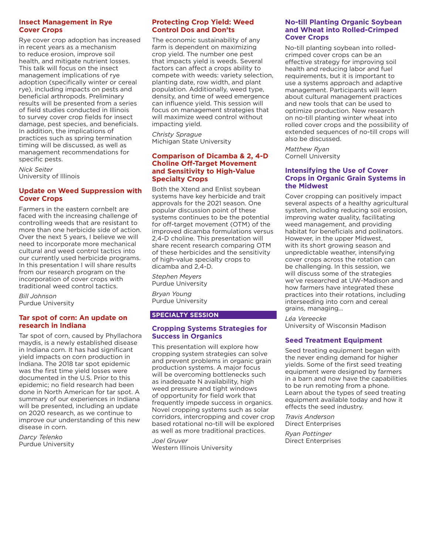#### **Insect Management in Rye Cover Crops**

Rye cover crop adoption has increased in recent years as a mechanism to reduce erosion, improve soil health, and mitigate nutrient losses. This talk will focus on the insect management implications of rye adoption (specifically winter or cereal rye), including impacts on pests and beneficial arthropods. Preliminary results will be presented from a series of field studies conducted in Illinois to survey cover crop fields for insect damage, pest species, and beneficials. In addition, the implications of practices such as spring termination timing will be discussed, as well as management recommendations for specific pests.

*Nick Seiter* University of Illinois

#### **Update on Weed Suppression with Cover Crops**

Farmers in the eastern cornbelt are faced with the increasing challenge of controlling weeds that are resistant to more than one herbicide side of action. Over the next 5 years, I believe we will need to incorporate more mechanical cultural and weed control tactics into our currently used herbicide programs. In this presentation I will share results from our research program on the incorporation of cover crops with traditional weed control tactics.

*Bill Johnson* Purdue University

#### **Tar spot of corn: An update on research in Indiana**

Tar spot of corn, caused by Phyllachora maydis, is a newly established disease in Indiana corn. It has had significant yield impacts on corn production in Indiana. The 2018 tar spot epidemic was the first time yield losses were documented in the U.S. Prior to this epidemic; no field research had been done in North American for tar spot. A summary of our experiences in Indiana will be presented, including an update on 2020 research, as we continue to improve our understanding of this new disease in corn.

*Darcy Telenko* Purdue University

#### **Protecting Crop Yield: Weed Control Dos and Don'ts**

The economic sustainability of any farm is dependent on maximizing crop yield. The number one pest that impacts yield is weeds. Several factors can affect a crops ability to compete with weeds: variety selection, planting date, row width, and plant population. Additionally, weed type, density, and time of weed emergence can influence yield. This session will focus on management strategies that will maximize weed control without impacting yield.

*Christy Sprague* Michigan State University

#### **Comparison of Dicamba & 2, 4-D Choline Off-Target Movement and Sensitivity to High-Value Specialty Crops**

Both the Xtend and Enlist soybean systems have key herbicide and trait approvals for the 2021 season. One popular discussion point of these systems continues to be the potential for off-target movement (OTM) of the improved dicamba formulations versus 2,4-D choline. This presentation will share recent research comparing OTM of these herbicides and the sensitivity of high-value specialty crops to dicamba and 2,4-D.

*Stephen Meyers* Purdue University

*Bryan Young* Purdue University

#### **SPECIALTY SESSION**

#### **Cropping Systems Strategies for Success in Organics**

This presentation will explore how cropping system strategies can solve and prevent problems in organic grain production systems. A major focus will be overcoming bottlenecks such as inadequate N availability, high weed pressure and tight windows of opportunity for field work that frequently impede success in organics. Novel cropping systems such as solar corridors, intercropping and cover crop based rotational no-till will be explored as well as more traditional practices.

*Joel Gruver* Western Illinois University

#### **No-till Planting Organic Soybean and Wheat into Rolled-Crimped Cover Crops**

No-till planting soybean into rolledcrimped cover crops can be an effective strategy for improving soil health and reducing labor and fuel requirements, but it is important to use a systems approach and adaptive management. Participants will learn about cultural management practices and new tools that can be used to optimize production. New research on no-till planting winter wheat into rolled cover crops and the possibility of extended sequences of no-till crops will also be discussed.

*Matthew Ryan* Cornell University

#### **Intensifying the Use of Cover Crops in Organic Grain Systems in the Midwest**

Cover cropping can positively impact several aspects of a healthy agricultural system, including reducing soil erosion, improving water quality, facilitating weed management, and providing habitat for beneficials and pollinators. However, in the upper Midwest, with its short growing season and unpredictable weather, intensifying cover crops across the rotation can be challenging. In this session, we will discuss some of the strategies we've researched at UW-Madison and how farmers have integrated these practices into their rotations, including interseeding into corn and cereal grains, managing...

*Léa Vereecke* University of Wisconsin Madison

#### **Seed Treatment Equipment**

Seed treating equipment began with the never ending demand for higher yields. Some of the first seed treating equipment were designed by farmers in a barn and now have the capabilities to be run remoting from a phone. Learn about the types of seed treating equipment available today and how it effects the seed industry.

*Travis Anderson* Direct Enterprises

*Ryan Pottinger* Direct Enterprises